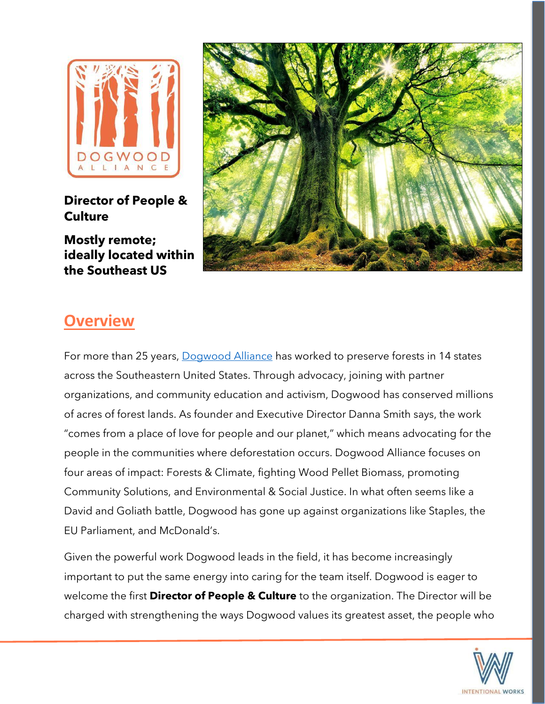

**Director of People & Culture**

**Mostly remote; ideally located within the Southeast US**



## **Overview**

For more than 25 years, [Dogwood Alliance](https://www.dogwoodalliance.org/) has worked to preserve forests in 14 states across the Southeastern United States. Through advocacy, joining with partner organizations, and community education and activism, Dogwood has conserved millions of acres of forest lands. As founder and Executive Director Danna Smith says, the work "comes from a place of love for people and our planet," which means advocating for the people in the communities where deforestation occurs. Dogwood Alliance focuses on four areas of impact: Forests & Climate, fighting Wood Pellet Biomass, promoting Community Solutions, and Environmental & Social Justice. In what often seems like a David and Goliath battle, Dogwood has gone up against organizations like Staples, the EU Parliament, and McDonald's.

Given the powerful work Dogwood leads in the field, it has become increasingly important to put the same energy into caring for the team itself. Dogwood is eager to welcome the first **Director of People & Culture** to the organization. The Director will be charged with strengthening the ways Dogwood values its greatest asset, the people who

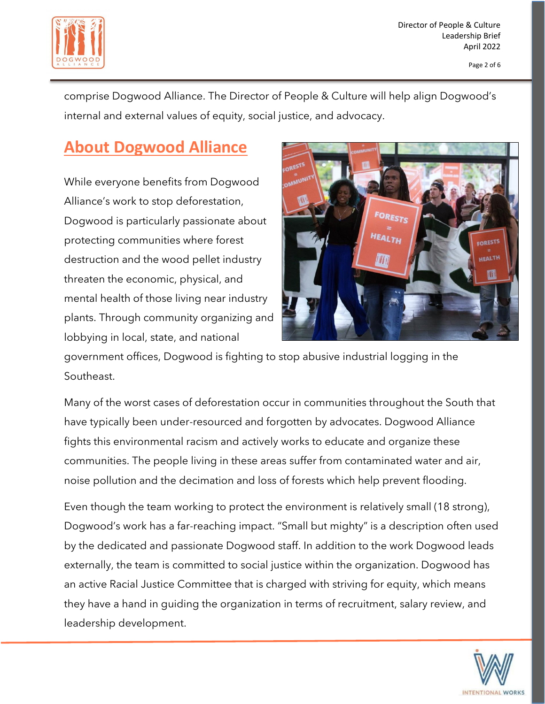

comprise Dogwood Alliance. The Director of People & Culture will help align Dogwood's internal and external values of equity, social justice, and advocacy.

## **About Dogwood Alliance**

While everyone benefits from Dogwood Alliance's work to stop deforestation, Dogwood is particularly passionate about protecting communities where forest destruction and the wood pellet industry threaten the economic, physical, and mental health of those living near industry plants. Through community organizing and lobbying in local, state, and national



government offices, Dogwood is fighting to stop abusive industrial logging in the Southeast.

Many of the worst cases of deforestation occur in communities throughout the South that have typically been under-resourced and forgotten by advocates. Dogwood Alliance fights this environmental racism and actively works to educate and organize these communities. The people living in these areas suffer from contaminated water and air, noise pollution and the decimation and loss of forests which help prevent flooding.

Even though the team working to protect the environment is relatively small (18 strong), Dogwood's work has a far-reaching impact. "Small but mighty" is a description often used by the dedicated and passionate Dogwood staff. In addition to the work Dogwood leads externally, the team is committed to social justice within the organization. Dogwood has an active Racial Justice Committee that is charged with striving for equity, which means they have a hand in guiding the organization in terms of recruitment, salary review, and leadership development.

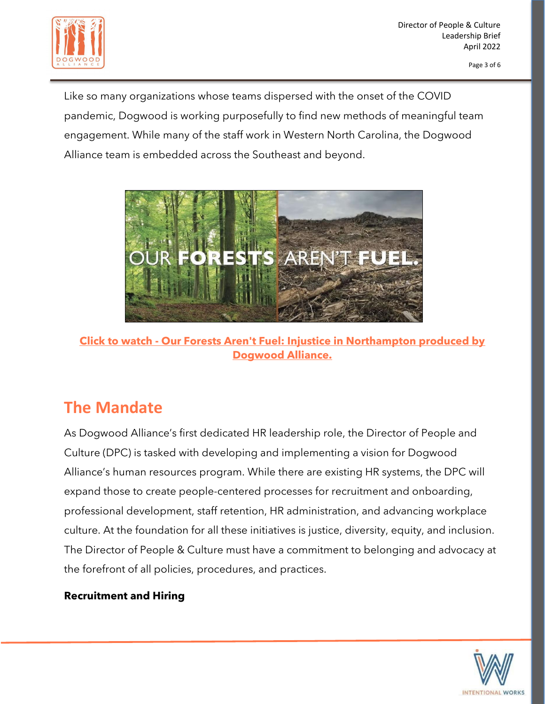

Like so many organizations whose teams dispersed with the onset of the COVID pandemic, Dogwood is working purposefully to find new methods of meaningful team engagement. While many of the staff work in Western North Carolina, the Dogwood Alliance team is embedded across the Southeast and beyond.



**Click to watch - [Our Forests Aren't Fuel: Injustice in Northampton produced by](https://www.youtube.com/watch?v=xNJFPefdnIw)  [Dogwood Alliance.](https://www.youtube.com/watch?v=xNJFPefdnIw)**

# **The Mandate**

As Dogwood Alliance's first dedicated HR leadership role, the Director of People and Culture (DPC) is tasked with developing and implementing a vision for Dogwood Alliance's human resources program. While there are existing HR systems, the DPC will expand those to create people-centered processes for recruitment and onboarding, professional development, staff retention, HR administration, and advancing workplace culture. At the foundation for all these initiatives is justice, diversity, equity, and inclusion. The Director of People & Culture must have a commitment to belonging and advocacy at the forefront of all policies, procedures, and practices.

#### **Recruitment and Hiring**

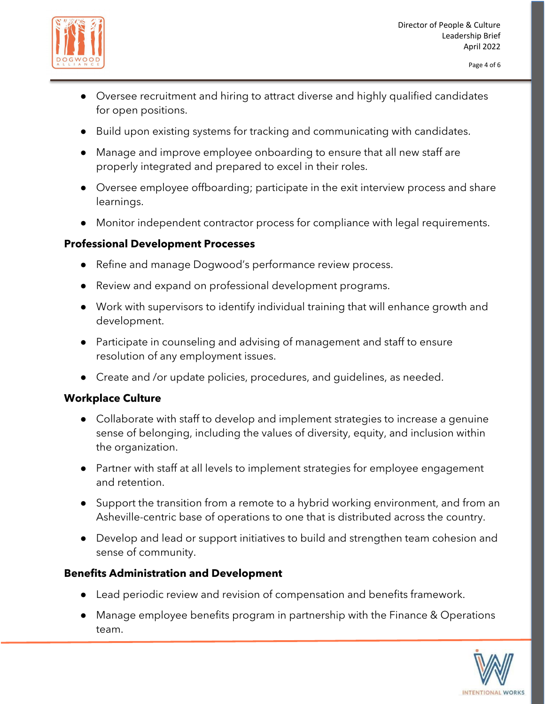

- Oversee recruitment and hiring to attract diverse and highly qualified candidates for open positions.
- Build upon existing systems for tracking and communicating with candidates.
- Manage and improve employee onboarding to ensure that all new staff are properly integrated and prepared to excel in their roles.
- Oversee employee offboarding; participate in the exit interview process and share learnings.
- Monitor independent contractor process for compliance with legal requirements.

#### **Professional Development Processes**

- Refine and manage Dogwood's performance review process.
- Review and expand on professional development programs.
- Work with supervisors to identify individual training that will enhance growth and development.
- Participate in counseling and advising of management and staff to ensure resolution of any employment issues.
- Create and /or update policies, procedures, and guidelines, as needed.

#### **Workplace Culture**

- Collaborate with staff to develop and implement strategies to increase a genuine sense of belonging, including the values of diversity, equity, and inclusion within the organization.
- Partner with staff at all levels to implement strategies for employee engagement and retention.
- Support the transition from a remote to a hybrid working environment, and from an Asheville-centric base of operations to one that is distributed across the country.
- Develop and lead or support initiatives to build and strengthen team cohesion and sense of community.

#### **Benefits Administration and Development**

- Lead periodic review and revision of compensation and benefits framework.
- Manage employee benefits program in partnership with the Finance & Operations team.

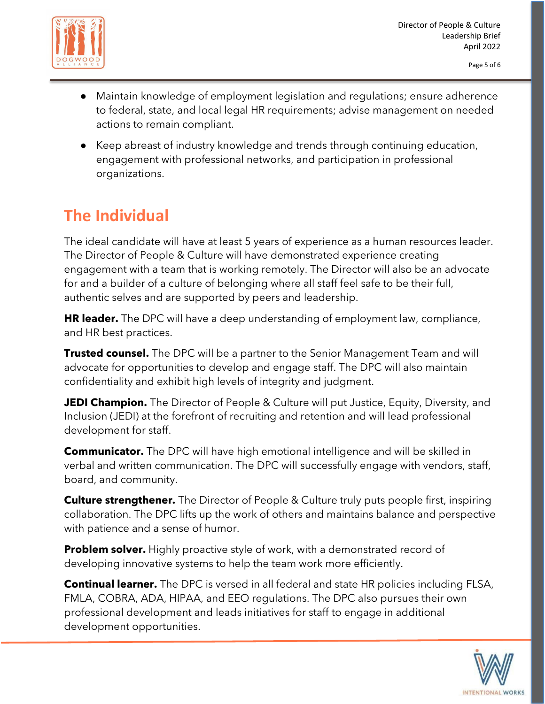

- Maintain knowledge of employment legislation and regulations; ensure adherence to federal, state, and local legal HR requirements; advise management on needed actions to remain compliant.
- Keep abreast of industry knowledge and trends through continuing education, engagement with professional networks, and participation in professional organizations.

# **The Individual**

The ideal candidate will have at least 5 years of experience as a human resources leader. The Director of People & Culture will have demonstrated experience creating engagement with a team that is working remotely. The Director will also be an advocate for and a builder of a culture of belonging where all staff feel safe to be their full, authentic selves and are supported by peers and leadership.

**HR leader.** The DPC will have a deep understanding of employment law, compliance, and HR best practices.

**Trusted counsel.** The DPC will be a partner to the Senior Management Team and will advocate for opportunities to develop and engage staff. The DPC will also maintain confidentiality and exhibit high levels of integrity and judgment.

**JEDI Champion.** The Director of People & Culture will put Justice, Equity, Diversity, and Inclusion (JEDI) at the forefront of recruiting and retention and will lead professional development for staff.

**Communicator.** The DPC will have high emotional intelligence and will be skilled in verbal and written communication. The DPC will successfully engage with vendors, staff, board, and community.

**Culture strengthener.** The Director of People & Culture truly puts people first, inspiring collaboration. The DPC lifts up the work of others and maintains balance and perspective with patience and a sense of humor.

**Problem solver.** Highly proactive style of work, with a demonstrated record of developing innovative systems to help the team work more efficiently.

**Continual learner.** The DPC is versed in all federal and state HR policies including FLSA, FMLA, COBRA, ADA, HIPAA, and EEO regulations. The DPC also pursues their own professional development and leads initiatives for staff to engage in additional development opportunities.